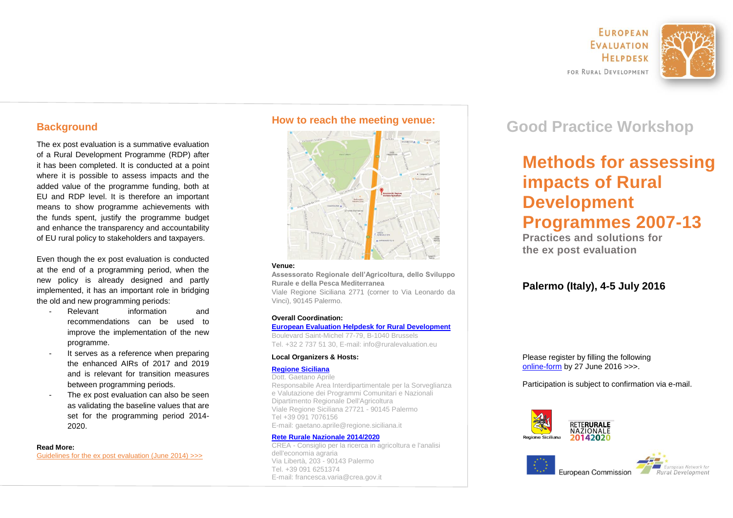**FUROPEAN FVALUATION** HELPDESK FOR RURAL DEVELOPMENT



## **Background**

The ex post evaluation is a summative evaluation of a Rural Development Programme (RDP) after it has been completed. It is conducted at a point where it is possible to assess impacts and the added value of the programme funding, both at EU and RDP level. It is therefore an important means to show programme achievements with the funds spent, justify the programme budget and enhance the transparency and accountability of EU rural policy to stakeholders and taxpayers.

Even though the ex post evaluation is conducted at the end of a programming period, when the new policy is already designed and partly implemented, it has an important role in bridging the old and new programming periods:

- Relevant information and recommendations can be used to improve the implementation of the new programme.
- It serves as a reference when preparing the enhanced AIRs of 2017 and 2019 and is relevant for transition measures between programming periods.
- The ex post evaluation can also be seen as validating the baseline values that are set for the programming period 2014- 2020.

### **Read More:**

[Guidelines for the ex post evaluation \(June 2014\) >>>](http://enrd.ec.europa.eu/enrd-static/app_templates/enrd_assets/pdf/evaluation/epe_master.pdf)



#### **Venue:**

**Assessorato Regionale dell'Agricoltura, dello Sviluppo Rurale e della Pesca Mediterranea**

Viale Regione Siciliana 2771 (corner to Via Leonardo da Vinci), 90145 Palermo.

### **Overall Coordination:**

### **[European Evaluation Helpdesk for Rural Development](http://enrd.ec.europa.eu/evaluation/)**

Boulevard Saint-Michel 77-79, B-1040 Brussels Tel.  $+32$  2 737 51 30. E-mail: info@ruralevaluation.eu.

### **Local Organizers & Hosts:**

### **[Regione Siciliana](http://pti.regione.sicilia.it/portal/page/portal/PIR_PORTALE)**

Dott. Gaetano Aprile Responsabile Area Interdipartimentale per la Sorveglianza e Valutazione dei Programmi Comunitari e Nazionali Dipartimento Regionale Dell'Agricoltura Viale Regione Siciliana 27721 - 90145 Palermo Tel +39 091 7076156 E-mail: gaetano.aprile@regione.siciliana.it

### **[Rete Rurale Nazionale 2014/2020](http://www.reterurale.it/)**

CREA - Consiglio per la ricerca in agricoltura e l'analisi dell'economia agraria Via Libertà, 203 - 90143 Palermo Tel. +39 091 6251374 Tel. +39 091 6251374<br>E-mail: francesca.varia@crea.gov.it<br>**E-mail: francesca.varia@crea.gov.it** 

# **Good Practice Workshop How to reach the meeting venue:**

# **Methods for assessing impacts of Rural Development Programmes 2007-13**

**Practices and solutions for the ex post evaluation**

## **Palermo (Italy), 4-5 July 2016**

Please register by filling the following [online-form](https://form.jotformeu.com/61454256592359) by 27 June 2016 >>>.

Participation is subject to confirmation via e-mail.